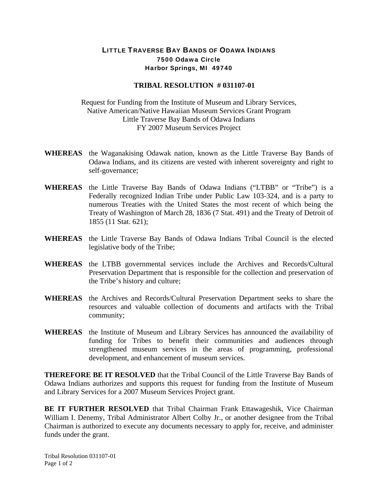## LITTLE TRAVERSE BAY BANDS OF ODAWA INDIANS 7500 Odawa Circle Harbor Springs, MI 49740

## **TRIBAL RESOLUTION # 031107-01**

Request for Funding from the Institute of Museum and Library Services, Native American/Native Hawaiian Museum Services Grant Program Little Traverse Bay Bands of Odawa Indians FY 2007 Museum Services Project

- **WHEREAS** the Waganakising Odawak nation, known as the Little Traverse Bay Bands of Odawa Indians, and its citizens are vested with inherent sovereignty and right to self-governance;
- **WHEREAS** the Little Traverse Bay Bands of Odawa Indians ("LTBB" or "Tribe") is a Federally recognized Indian Tribe under Public Law 103-324, and is a party to numerous Treaties with the United States the most recent of which being the Treaty of Washington of March 28, 1836 (7 Stat. 491) and the Treaty of Detroit of 1855 (11 Stat. 621);
- **WHEREAS** the Little Traverse Bay Bands of Odawa Indians Tribal Council is the elected legislative body of the Tribe;
- **WHEREAS** the LTBB governmental services include the Archives and Records/Cultural Preservation Department that is responsible for the collection and preservation of the Tribe's history and culture;
- **WHEREAS** the Archives and Records/Cultural Preservation Department seeks to share the resources and valuable collection of documents and artifacts with the Tribal community;
- **WHEREAS** the Institute of Museum and Library Services has announced the availability of funding for Tribes to benefit their communities and audiences through strengthened museum services in the areas of programming, professional development, and enhancement of museum services.

**THEREFORE BE IT RESOLVED** that the Tribal Council of the Little Traverse Bay Bands of Odawa Indians authorizes and supports this request for funding from the Institute of Museum and Library Services for a 2007 Museum Services Project grant.

**BE IT FURTHER RESOLVED** that Tribal Chairman Frank Ettawageshik, Vice Chairman William I. Denemy, Tribal Administrator Albert Colby Jr., or another designee from the Tribal Chairman is authorized to execute any documents necessary to apply for, receive, and administer funds under the grant.